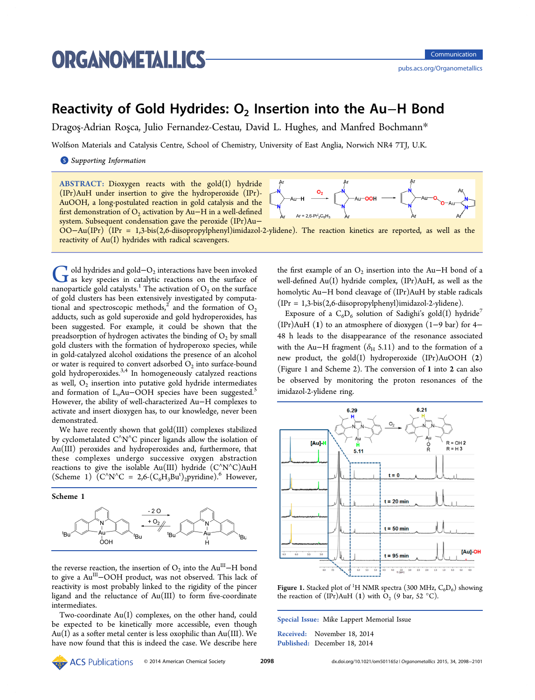# <span id="page-0-0"></span>**ORGANOMETALLICS**

## Reactivity of Gold Hydrides: O<sub>2</sub> Insertion into the Au–H Bond

Dragos-Adrian Rosca, Julio Fernandez-Cestau, David L. Hughes, and Manfred Bochmann\*

Wolfson Materials and Catalysis Centre, School of Chemistry, University of East Anglia, Norwich NR4 7TJ, U.[K.](#page-3-0)

**S** Supporting Information

[AB](#page-3-0)STRACT: [Dioxygen re](#page-3-0)acts with the gold(I) hydride (IPr)AuH under insertion to give the hydroperoxide (IPr)- AuOOH, a long-postulated reaction in gold catalysis and the first demonstration of  $O_2$  activation by Au–H in a well-defined  $Ar = 2.6-Pr<sup>i</sup><sub>2</sub>C<sub>e</sub>H<sub>2</sub>$ system. Subsequent condensation gave the peroxide (IPr)Au− OO−Au(IPr) (IPr = 1,3-bis(2,6-diisopropylphenyl)imidazol-2-ylidene). The reaction kinetics are reported, as well as the reactivity of Au(I) hydrides with radical scavengers.

 $\overline{G}$  old hydrides and gold−O<sub>2</sub> interactions have been invoked<br>as key species in catalytic reactions on the surface of<br>papaparaticle gold catalytic<sup>1</sup>. The activation of O<sub>2</sub> on the surface nanoparticle gold catalysts.<sup>1</sup> The activation of  $O_2$  on the surface of gold clusters has been extensively investigated by computational and spectroscopic [m](#page-3-0)ethods,<sup>2</sup> and the formation of  $O_2$ adducts, such as gold superoxide and gold hydroperoxides, has been suggested. For example, it [c](#page-3-0)ould be shown that the preadsorption of hydrogen activates the binding of  $O_2$  by small gold clusters with the formation of hydroperoxo species, while in gold-catalyzed alcohol oxidations the presence of an alcohol or water is required to convert adsorbed  $O_2$  into surface-bound gold hydroperoxides. $3,4$  In homogeneously catalyzed reactions as well,  $O_2$  insertion into putative gold hydride intermediates and formation of  $L<sub>n</sub>Au-OOH$  $L<sub>n</sub>Au-OOH$  $L<sub>n</sub>Au-OOH$  species have been suggested.<sup>5</sup> However, the ability of well-characterized Au−H complexes to activate and insert dioxygen has, to our knowledge, never bee[n](#page-3-0) demonstrated.

We have recently shown that gold(III) complexes stabilized by cyclometalated C<sup>∧</sup>N<sup>∧</sup>C pincer ligands allow the isolation of Au(III) peroxides and hydroperoxides and, furthermore, that these complexes undergo successive oxygen abstraction reactions to give the isolable Au(III) hydride (C<sup>∧</sup>N<sup>∧</sup>C)AuH (Scheme 1)  $(C'N'C = 2,6-(C_6H_3Bu')_2pyridine)$ .<sup>6</sup> However,

Scheme 1



the reverse reaction, the insertion of  $O_2$  into the Au<sup>III</sup>−H bond to give a AuIII−OOH product, was not observed. This lack of reactivity is most probably linked to the rigidity of the pincer ligand and the reluctance of Au(III) to form five-coordinate intermediates.

Two-coordinate Au(I) complexes, on the other hand, could be expected to be kinetically more accessible, even though  $Au(I)$  as a softer metal center is less oxophilic than  $Au(III)$ . We have now found that this is indeed the case. We describe here



the first example of an  $O_2$  insertion into the Au–H bond of a well-defined Au(I) hydride complex, (IPr)AuH, as well as the homolytic Au−H bond cleavage of (IPr)AuH by stable radicals (IPr = 1,3-bis(2,6-diisopropylphenyl)imidazol-2-ylidene).

Exposure of a  $C_6D_6$  solution of Sadighi's gold(I) hydride<sup>7</sup> (IPr)AuH (1) to an atmosphere of dioxygen (1−9 bar) for 4− 48 h leads to the disappearance of the resonance associate[d](#page-3-0) with the Au–H fragment ( $\delta$ <sub>H</sub> 5.11) and to the formation of a new product, the gold(I) hydroperoxide (IPr)AuOOH (2) (Figure 1 and Scheme 2). The conversion of 1 into 2 can also be observed by monitoring the proton resonances of the imidazol-2-ylidene ring[.](#page-1-0)



Figure 1. Stacked plot of <sup>1</sup>H NMR spectra (300 MHz,  $C_6D_6$ ) showing the reaction of (IPr)AuH (1) with  $O_2$  (9 bar, 52 °C).

Special Issue: Mike Lappert Memorial Issue

Received: November 18, 2014 Published: December 18, 2014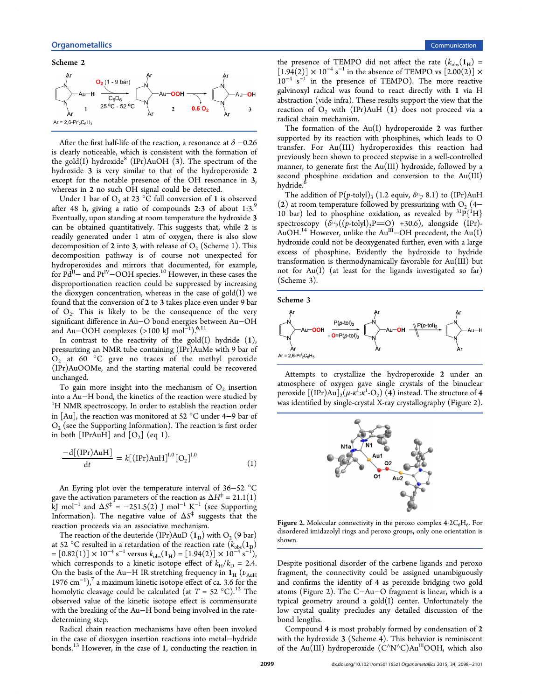<span id="page-1-0"></span>Scheme 2



After the first half-life of the reaction, a resonance at  $\delta$  –0.26 is clearly noticeable, which is consistent with the formation of the gold(I) hydroxide<sup>8</sup> (IPr)AuOH (3). The spectrum of the hydroxide 3 is very similar to that of the hydroperoxide 2 except for the notabl[e](#page-3-0) presence of the OH resonance in 3, whereas in 2 no such OH signal could be detected.

Under 1 bar of  $O_2$  at 23 °C full conversion of 1 is observed after 48 h, giving a ratio of compounds  $2:3$  of about  $1:3$ .<sup>9</sup> Eventually, upon standing at room temperature the hydroxide 3 can be obtained quantitatively. This suggests that, while 2 [is](#page-3-0) readily generated under 1 atm of oxygen, there is also slow decomposition of 2 into 3, with release of  $O_2$  (Scheme 1). This decomposition pathway is of course not unexpected for hydroperoxides and mirrors that documented, for [ex](#page-0-0)ample, for  $Pd^{II}$ – and  $Pt^{IV}$ –OOH species.<sup>10</sup> However, in these cases the disproportionation reaction could be suppressed by increasing the dioxygen concentration, whe[rea](#page-3-0)s in the case of gold(I) we found that the conversion of 2 to 3 takes place even under 9 bar of  $O_2$ . This is likely to be the consequence of the very significant difference in Au−O bond energies between Au−OH and Au−OOH complexes (>100 kJ mol<sup>−</sup><sup>1</sup> ).6,11

In contrast to the reactivity of the gold $(I)$  hydride  $(I)$ , pressurizing an NMR tube containing (IPr)[AuM](#page-3-0)e with 9 bar of  $O_2$  at 60 °C gave no traces of the methyl peroxide (IPr)AuOOMe, and the starting material could be recovered unchanged.

To gain more insight into the mechanism of  $O_2$  insertion into a Au−H bond, the kinetics of the reaction were studied by <sup>1</sup> <sup>1</sup>H NMR spectroscopy. In order to establish the reaction order in [Au], the reaction was monitored at 52 °C under 4−9 bar of  $O<sub>2</sub>$  (see the Supporting Information). The reaction is first order in both [IPrAuH] and  $[O_2]$  (eq 1).

$$
\frac{-d[(IPr)AuH]}{dt} = k[(IPr)AuH]^{1.0}[O_2]^{1.0}
$$
 (1)

An Eyring plot over the temperature interval of 36−52 °C gave the activation parameters of the reaction as  $\Delta H^{\ddagger} = 21.1(1)$ kJ mol<sup>−</sup><sup>1</sup> and ΔS<sup>⧧</sup> = −251.5(2) J mol<sup>−</sup><sup>1</sup> K<sup>−</sup><sup>1</sup> (see Supporting Information). The negative value of  $\Delta S^{\ddagger}$  suggests that the reaction proceeds via an associative mechanism.

[The reacti](#page-3-0)on of the deuteride (IPr)AuD  $(1_D)$  with  $O_2$  [\(9](#page-3-0) [bar\)](#page-3-0) at 52 °C resulted in a retardation of the reaction rate  $(k_{obs}(1_D))$  $= [0.82(1)] \times 10^{-4} \text{ s}^{-1} \text{ versus } k_{obs}(\mathbf{1}_{\text{H}}) = [1.94(2)] \times 10^{-4} \text{ s}^{-1},$ which corresponds to a kinetic isotope effect of  $k_H/k_D = 2.4$ . On the basis of the Au–H IR stretching frequency in  $1_H$  ( $\nu_{AuH}$ ) 1976 cm<sup>-1</sup>),<sup>7</sup> a maximum kinetic isotope effect of ca. 3.6 for the homolytic cleavage could be calculated (at  $T = 52 \text{ °C}$ ).<sup>12</sup> The observed va[lu](#page-3-0)e of the kinetic isotope effect is commensurate with the breaking of the Au−H bond being involved in t[he](#page-3-0) ratedetermining step.

Radical chain reaction mechanisms have often been invoked in the case of dioxygen insertion reactions into metal−hydride bonds.<sup>13</sup> However, in the case of 1, conducting the reaction in

the presence of TEMPO did not affect the rate  $(k_{obs}(1_H)$  =  $[1.94(2)] \times 10^{-4}$  s<sup>-1</sup> in the absence of TEMPO vs  $[2.00(2)] \times$ 10<sup>-4</sup> s<sup>-1</sup> in the presence of TEMPO). The more reactive galvinoxyl radical was found to react directly with 1 via H abstraction (vide infra). These results support the view that the reaction of  $O_2$  with (IPr)AuH (1) does not proceed via a radical chain mechanism.

The formation of the  $Au(I)$  hydroperoxide 2 was further supported by its reaction with phosphines, which leads to O transfer. For Au(III) hydroperoxides this reaction had previously been shown to proceed stepwise in a well-controlled manner, to generate first the Au(III) hydroxide, followed by a second phosphine oxidation and conversion to the Au(III) hydride.

The addition of  $P(p$ -tolyl)<sub>3</sub> (1.2 equiv,  $\delta^{31}P^8$  8.1) to (IPr)AuH (2) at r[oo](#page-3-0)m temperature followed by pressurizing with  $O_2$  (4– 10 bar) led to phosphine oxidation, as revealed by  ${}^{31}P\{^1H\}$ spectroscopy  $(\delta^{31}Pp((p\text{-tolyl})_3P=O)$  +30.6), alongside (IPr)-AuOH.<sup>14</sup> However, unlike the Au<sup>III</sup>–OH precedent, the Au(I) hydroxide could not be deoxygenated further, even with a large excess [o](#page-3-0)f phosphine. Evidently the hydroxide to hydride transformation is thermodynamically favorable for Au(III) but not for Au(I) (at least for the ligands investigated so far) (Scheme 3).



Attempts to crystallize the hydroperoxide 2 under an atmosphere of oxygen gave single crystals of the binuclear peroxide  $[(IPr)Au]_2(\mu$ - $\kappa$ <sup>1</sup>: $\kappa$ <sup>1</sup>-O<sub>2</sub>) (4) instead. The structure of 4 was identified by single-crystal X-ray crystallography (Figure 2).



Figure 2. Molecular connectivity in the peroxo complex  $4.2C_6H_6$ . For disordered imidazolyl rings and peroxo groups, only one orientation is shown.

Despite positional disorder of the carbene ligands and peroxo fragment, the connectivity could be assigned unambiguously and confirms the identity of 4 as peroxide bridging two gold atoms (Figure 2). The C−Au−O fragment is linear, which is a typical geometry around a gold(I) center. Unfortunately the low crystal quality precludes any detailed discussion of the bond lengths.

Compound 4 is most probably formed by condensation of 2 with the hydroxide 3 (Scheme 4). This behavior is reminiscent of the Au(III) hydroperoxide (C^N^C)Au<sup>III</sup>OOH, which also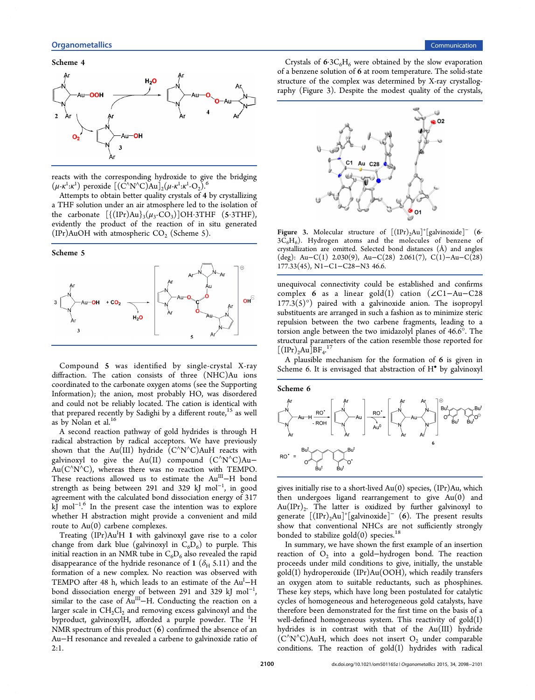<span id="page-2-0"></span>

reacts with the corresponding hydroxide to give the bridging (μ-κ<sup>1</sup>:κ<sup>1</sup>) peroxide  $[(\dot{C}^N N^\wedge C)\dot{A}u]_2(\mu$ -κ<sup>1</sup>:κ<sup>1</sup>-Ο<sub>2</sub>).<sup>6</sup>

Attempts to obtain better quality crystals of 4 by crystallizing a THF solution under an air atmosphere led t[o t](#page-3-0)he isolation of the carbonate  $[\{(\text{IPr})\text{Au}\}_{3}(\mu_{3}-\text{CO}_{3})] \text{OH·3THF}$  (5.3THF), evidently the product of the reaction of in situ generated (IPr)AuOH with atmospheric  $CO<sub>2</sub>$  (Scheme 5).





Compound 5 was identified by single-crystal X-ray diffraction. The cation consists of three (NHC)Au ions coordinated to the carbonate oxygen atoms (see the Supporting Information); the anion, most probably HO, was disordered and could not be reliably located. The cation is id[entical with](#page-3-0) [that prepare](#page-3-0)d recently by Sadighi by a different route,<sup>15</sup> as well as by Nolan et al.<sup>16</sup>

A second reaction pathway of gold hydrides is t[hro](#page-3-0)ugh H radical abstractio[n](#page-3-0) by radical acceptors. We have previously shown that the Au(III) hydride  $(C^{\wedge}N^{\wedge}C)$ AuH reacts with galvinoxyl to give the Au(II) compound  $(C^N N^C)$ Au–  $Au(C^N N^N C)$ , whereas there was no reaction with TEMPO. These reactions allowed us to estimate the Au<sup>III</sup>−H bond strength as being between 291 and 329 kJ mol<sup>-1</sup>, in good agreement with the calculated bond dissociation energy of 317 kJ mol<sup>−</sup><sup>1</sup> <sup>6</sup> In the present case the intention was to explore . whether H abstraction might provide a convenient and mild route to  $Au(0)$  $Au(0)$  carbene complexes.

Treating (IPr)Au<sup>I</sup>H 1 with galvinoxyl gave rise to a color change from dark blue (galvinoxyl in  $C_6D_6$ ) to purple. This initial reaction in an NMR tube in  $C_6D_6$  also revealed the rapid disappearance of the hydride resonance of 1 ( $\delta_H$  5.11) and the formation of a new complex. No reaction was observed with TEMPO after 48 h, which leads to an estimate of the Au<sup>I</sup>-H bond dissociation energy of between 291 and 329 kJ mol<sup>-1</sup>, , similar to the case of Au<sup>III</sup>−H. Conducting the reaction on a larger scale in  $CH_2Cl_2$  and removing excess galvinoxyl and the byproduct, galvinoxylH, afforded a purple powder. The <sup>1</sup>H NMR spectrum of this product  $(6)$  confirmed the absence of an Au−H resonance and revealed a carbene to galvinoxide ratio of 2:1.

Crystals of  $6.3C_6H_6$  were obtained by the slow evaporation of a benzene solution of 6 at room temperature. The solid-state structure of the complex was determined by X-ray crystallography (Figure 3). Despite the modest quality of the crystals,



Figure 3. Molecular structure of  $[(IPr)_2Au]^+[galvinoxide]^-$  (6·  $3C_6H_6$ ). Hydrogen atoms and the molecules of benzene of crystallization are omitted. Selected bond distances (Å) and angles (deg): Au−C(1) 2.030(9), Au−C(28) 2.061(7), C(1)−Au−C(28) 177.33(45), N1−C1−C28−N3 46.6.

unequivocal connectivity could be established and confirms complex 6 as a linear gold(I) cation (∠C1−Au−C28  $177.3(5)°$ ) paired with a galvinoxide anion. The isopropyl substituents are arranged in such a fashion as to minimize steric repulsion between the two carbene fragments, leading to a torsion angle between the two imidazolyl planes of 46.6°. The structural parameters of the cation resemble those reported for  $[(IPr)<sub>2</sub>Au]BF<sub>4</sub>.<sup>17</sup>]$ 

A plausible mechanism for the formation of 6 is given in Scheme 6. It i[s e](#page-3-0)nvisaged that abstraction of H<sup>•</sup> by galvinoxyl



gives initially rise to a short-lived Au(0) species, (IPr)Au, which then undergoes ligand rearrangement to give  $Au(0)$  and  $Au(IPr)<sub>2</sub>$ . The latter is oxidized by further galvinoxyl to generate  $[(IPr)_{2}Au]^{+}[galvinoxide]^{-}(6)$ . The present results show that conventional NHCs are not sufficiently strongly bonded to stabilize  $gold(0)$  species.<sup>18</sup>

In summary, we have shown the first example of an insertion reaction of  $O_2$  into a gold-hydr[og](#page-3-0)en bond. The reaction proceeds under mild conditions to give, initially, the unstable gold(I) hydroperoxide (IPr)Au(OOH), which readily transfers an oxygen atom to suitable reductants, such as phosphines. These key steps, which have long been postulated for catalytic cycles of homogeneous and heterogeneous gold catalysts, have therefore been demonstrated for the first time on the basis of a well-defined homogeneous system. This reactivity of  $gold(I)$ hydrides is in contrast with that of the Au(III) hydride  $(C^N N^C)$ AuH, which does not insert O<sub>2</sub> under comparable conditions. The reaction of gold(I) hydrides with radical